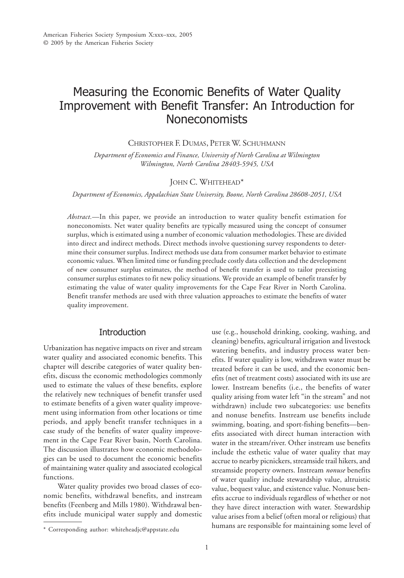# Measuring the Economic Benefits of Water Quality Improvement with Benefit Transfer: An Introduction for **Noneconomists**

#### CHRISTOPHER F. DUMAS, PETER W. SCHUHMANN

*Department of Economics and Finance, University of North Carolina at Wilmington Wilmington, North Carolina 28403-5945, USA*

#### JOHN C. WHITEHEAD\*

*Department of Economics, Appalachian State University, Boone, North Carolina 28608-2051, USA*

*Abstract.*—In this paper, we provide an introduction to water quality benefit estimation for noneconomists. Net water quality benefits are typically measured using the concept of consumer surplus, which is estimated using a number of economic valuation methodologies. These are divided into direct and indirect methods. Direct methods involve questioning survey respondents to determine their consumer surplus. Indirect methods use data from consumer market behavior to estimate economic values. When limited time or funding preclude costly data collection and the development of new consumer surplus estimates, the method of benefit transfer is used to tailor preexisting consumer surplus estimates to fit new policy situations. We provide an example of benefit transfer by estimating the value of water quality improvements for the Cape Fear River in North Carolina. Benefit transfer methods are used with three valuation approaches to estimate the benefits of water quality improvement.

### **Introduction**

Urbanization has negative impacts on river and stream water quality and associated economic benefits. This chapter will describe categories of water quality benefits, discuss the economic methodologies commonly used to estimate the values of these benefits, explore the relatively new techniques of benefit transfer used to estimate benefits of a given water quality improvement using information from other locations or time periods, and apply benefit transfer techniques in a case study of the benefits of water quality improvement in the Cape Fear River basin, North Carolina. The discussion illustrates how economic methodologies can be used to document the economic benefits of maintaining water quality and associated ecological functions.

Water quality provides two broad classes of economic benefits, withdrawal benefits, and instream benefits (Feenberg and Mills 1980). Withdrawal benefits include municipal water supply and domestic

\* Corresponding author: whiteheadjc@appstate.edu

use (e.g., household drinking, cooking, washing, and cleaning) benefits, agricultural irrigation and livestock watering benefits, and industry process water benefits. If water quality is low, withdrawn water must be treated before it can be used, and the economic benefits (net of treatment costs) associated with its use are lower. Instream benefits (i.e., the benefits of water quality arising from water left "in the stream" and not withdrawn) include two subcategories: use benefits and nonuse benefits. Instream use benefits include swimming, boating, and sport-fishing benefits—benefits associated with direct human interaction with water in the stream/river. Other instream use benefits include the esthetic value of water quality that may accrue to nearby picnickers, streamside trail hikers, and streamside property owners. Instream *nonuse* benefits of water quality include stewardship value, altruistic value, bequest value, and existence value. Nonuse benefits accrue to individuals regardless of whether or not they have direct interaction with water. Stewardship value arises from a belief (often moral or religious) that humans are responsible for maintaining some level of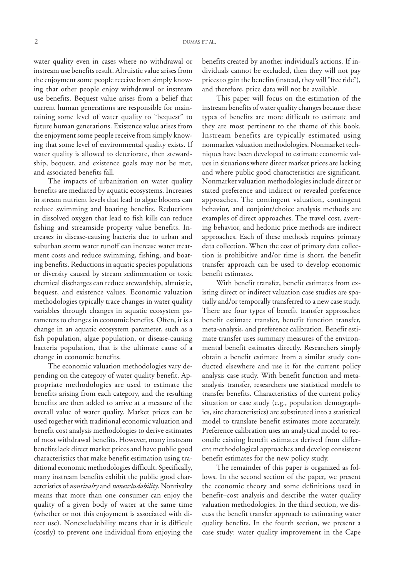water quality even in cases where no withdrawal or instream use benefits result. Altruistic value arises from the enjoyment some people receive from simply knowing that other people enjoy withdrawal or instream use benefits. Bequest value arises from a belief that current human generations are responsible for maintaining some level of water quality to "bequest" to future human generations. Existence value arises from the enjoyment some people receive from simply knowing that some level of environmental quality exists. If water quality is allowed to deteriorate, then stewardship, bequest, and existence goals may not be met, and associated benefits fall.

The impacts of urbanization on water quality benefits are mediated by aquatic ecosystems. Increases in stream nutrient levels that lead to algae blooms can reduce swimming and boating benefits. Reductions in dissolved oxygen that lead to fish kills can reduce fishing and streamside property value benefits. Increases in disease-causing bacteria due to urban and suburban storm water runoff can increase water treatment costs and reduce swimming, fishing, and boating benefits. Reductions in aquatic species populations or diversity caused by stream sedimentation or toxic chemical discharges can reduce stewardship, altruistic, bequest, and existence values. Economic valuation methodologies typically trace changes in water quality variables through changes in aquatic ecosystem parameters to changes in economic benefits. Often, it is a change in an aquatic ecosystem parameter, such as a fish population, algae population, or disease-causing bacteria population, that is the ultimate cause of a change in economic benefits.

The economic valuation methodologies vary depending on the category of water quality benefit. Appropriate methodologies are used to estimate the benefits arising from each category, and the resulting benefits are then added to arrive at a measure of the overall value of water quality. Market prices can be used together with traditional economic valuation and benefit cost analysis methodologies to derive estimates of most withdrawal benefits. However, many instream benefits lack direct market prices and have public good characteristics that make benefit estimation using traditional economic methodologies difficult. Specifically, many instream benefits exhibit the public good characteristics of *nonrivalry* and *nonexcludability*. Nonrivalry means that more than one consumer can enjoy the quality of a given body of water at the same time (whether or not this enjoyment is associated with direct use). Nonexcludability means that it is difficult (costly) to prevent one individual from enjoying the

benefits created by another individual's actions. If individuals cannot be excluded, then they will not pay prices to gain the benefits (instead, they will "free ride"), and therefore, price data will not be available.

This paper will focus on the estimation of the instream benefits of water quality changes because these types of benefits are more difficult to estimate and they are most pertinent to the theme of this book. Instream benefits are typically estimated using nonmarket valuation methodologies. Nonmarket techniques have been developed to estimate economic values in situations where direct market prices are lacking and where public good characteristics are significant. Nonmarket valuation methodologies include direct or stated preference and indirect or revealed preference approaches. The contingent valuation, contingent behavior, and conjoint/choice analysis methods are examples of direct approaches. The travel cost, averting behavior, and hedonic price methods are indirect approaches. Each of these methods requires primary data collection. When the cost of primary data collection is prohibitive and/or time is short, the benefit transfer approach can be used to develop economic benefit estimates.

With benefit transfer, benefit estimates from existing direct or indirect valuation case studies are spatially and/or temporally transferred to a new case study. There are four types of benefit transfer approaches: benefit estimate transfer, benefit function transfer, meta-analysis, and preference calibration. Benefit estimate transfer uses summary measures of the environmental benefit estimates directly. Researchers simply obtain a benefit estimate from a similar study conducted elsewhere and use it for the current policy analysis case study. With benefit function and metaanalysis transfer, researchers use statistical models to transfer benefits. Characteristics of the current policy situation or case study (e.g., population demographics, site characteristics) are substituted into a statistical model to translate benefit estimates more accurately. Preference calibration uses an analytical model to reconcile existing benefit estimates derived from different methodological approaches and develop consistent benefit estimates for the new policy study.

The remainder of this paper is organized as follows. In the second section of the paper, we present the economic theory and some definitions used in benefit–cost analysis and describe the water quality valuation methodologies. In the third section, we discuss the benefit transfer approach to estimating water quality benefits. In the fourth section, we present a case study: water quality improvement in the Cape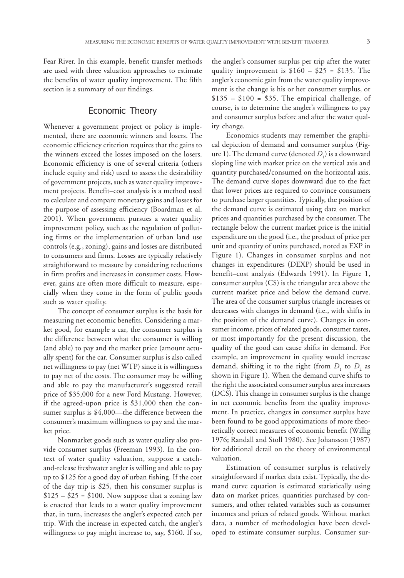Fear River. In this example, benefit transfer methods are used with three valuation approaches to estimate the benefits of water quality improvement. The fifth section is a summary of our findings.

### Economic Theory

Whenever a government project or policy is implemented, there are economic winners and losers. The economic efficiency criterion requires that the gains to the winners exceed the losses imposed on the losers. Economic efficiency is one of several criteria (others include equity and risk) used to assess the desirability of government projects, such as water quality improvement projects. Benefit–cost analysis is a method used to calculate and compare monetary gains and losses for the purpose of assessing efficiency (Boardman et al. 2001). When government pursues a water quality improvement policy, such as the regulation of polluting firms or the implementation of urban land use controls (e.g., zoning), gains and losses are distributed to consumers and firms. Losses are typically relatively straightforward to measure by considering reductions in firm profits and increases in consumer costs. However, gains are often more difficult to measure, especially when they come in the form of public goods such as water quality.

The concept of consumer surplus is the basis for measuring net economic benefits. Considering a market good, for example a car, the consumer surplus is the difference between what the consumer is willing (and able) to pay and the market price (amount actually spent) for the car. Consumer surplus is also called net willingness to pay (net WTP) since it is willingness to pay net of the costs. The consumer may be willing and able to pay the manufacturer's suggested retail price of \$35,000 for a new Ford Mustang. However, if the agreed-upon price is \$31,000 then the consumer surplus is \$4,000—the difference between the consumer's maximum willingness to pay and the market price.

Nonmarket goods such as water quality also provide consumer surplus (Freeman 1993). In the context of water quality valuation, suppose a catchand-release freshwater angler is willing and able to pay up to \$125 for a good day of urban fishing. If the cost of the day trip is \$25, then his consumer surplus is  $$125 - $25 = $100$ . Now suppose that a zoning law is enacted that leads to a water quality improvement that, in turn, increases the angler's expected catch per trip. With the increase in expected catch, the angler's willingness to pay might increase to, say, \$160. If so,

the angler's consumer surplus per trip after the water quality improvement is  $$160 - $25 = $135$ . The angler's economic gain from the water quality improvement is the change is his or her consumer surplus, or  $$135 - $100 = $35$ . The empirical challenge, of course, is to determine the angler's willingness to pay and consumer surplus before and after the water quality change.

Economics students may remember the graphical depiction of demand and consumer surplus (Figure 1). The demand curve (denoted  $D<sub>1</sub>$ ) is a downward sloping line with market price on the vertical axis and quantity purchased/consumed on the horizontal axis. The demand curve slopes downward due to the fact that lower prices are required to convince consumers to purchase larger quantities. Typically, the position of the demand curve is estimated using data on market prices and quantities purchased by the consumer. The rectangle below the current market price is the initial expenditure on the good (i.e., the product of price per unit and quantity of units purchased, noted as EXP in Figure 1). Changes in consumer surplus and not changes in expenditures (DEXP) should be used in benefit–cost analysis (Edwards 1991). In Figure 1, consumer surplus (CS) is the triangular area above the current market price and below the demand curve. The area of the consumer surplus triangle increases or decreases with changes in demand (i.e., with shifts in the position of the demand curve). Changes in consumer income, prices of related goods, consumer tastes, or most importantly for the present discussion, the quality of the good can cause shifts in demand. For example, an improvement in quality would increase demand, shifting it to the right (from  $D_1$  to  $D_2$  as shown in Figure 1). When the demand curve shifts to the right the associated consumer surplus area increases (DCS). This change in consumer surplus is the change in net economic benefits from the quality improvement. In practice, changes in consumer surplus have been found to be good approximations of more theoretically correct measures of economic benefit (Willig 1976; Randall and Stoll 1980). See Johansson (1987) for additional detail on the theory of environmental valuation.

Estimation of consumer surplus is relatively straightforward if market data exist. Typically, the demand curve equation is estimated statistically using data on market prices, quantities purchased by consumers, and other related variables such as consumer incomes and prices of related goods. Without market data, a number of methodologies have been developed to estimate consumer surplus. Consumer sur-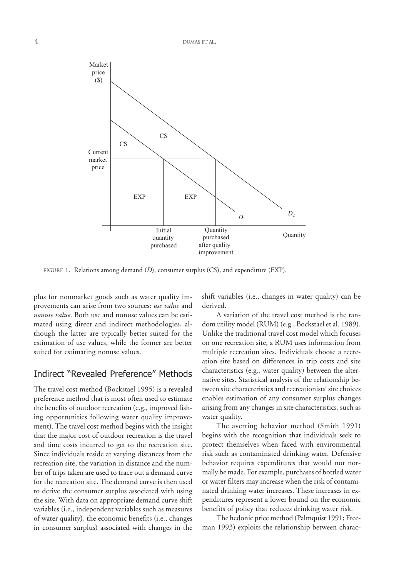

FIGURE 1. Relations among demand (*D*), consumer surplus (CS), and expenditure (EXP).

plus for nonmarket goods such as water quality improvements can arise from two sources: *use value* and *nonuse value*. Both use and nonuse values can be estimated using direct and indirect methodologies, although the latter are typically better suited for the estimation of use values, while the former are better suited for estimating nonuse values.

## Indirect "Revealed Preference" Methods

The travel cost method (Bockstael 1995) is a revealed preference method that is most often used to estimate the benefits of outdoor recreation (e.g., improved fishing opportunities following water quality improvement). The travel cost method begins with the insight that the major cost of outdoor recreation is the travel and time costs incurred to get to the recreation site. Since individuals reside at varying distances from the recreation site, the variation in distance and the number of trips taken are used to trace out a demand curve for the recreation site. The demand curve is then used to derive the consumer surplus associated with using the site. With data on appropriate demand curve shift variables (i.e., independent variables such as measures of water quality), the economic benefits (i.e., changes in consumer surplus) associated with changes in the shift variables (i.e., changes in water quality) can be derived.

A variation of the travel cost method is the random utility model (RUM) (e.g., Bockstael et al. 1989). Unlike the traditional travel cost model which focuses on one recreation site, a RUM uses information from multiple recreation sites. Individuals choose a recreation site based on differences in trip costs and site characteristics (e.g., water quality) between the alternative sites. Statistical analysis of the relationship between site characteristics and recreationists' site choices enables estimation of any consumer surplus changes arising from any changes in site characteristics, such as water quality.

The averting behavior method (Smith 1991) begins with the recognition that individuals seek to protect themselves when faced with environmental risk such as contaminated drinking water. Defensive behavior requires expenditures that would not normally be made. For example, purchases of bottled water or water filters may increase when the risk of contaminated drinking water increases. These increases in expenditures represent a lower bound on the economic benefits of policy that reduces drinking water risk.

The hedonic price method (Palmquist 1991; Freeman 1993) exploits the relationship between charac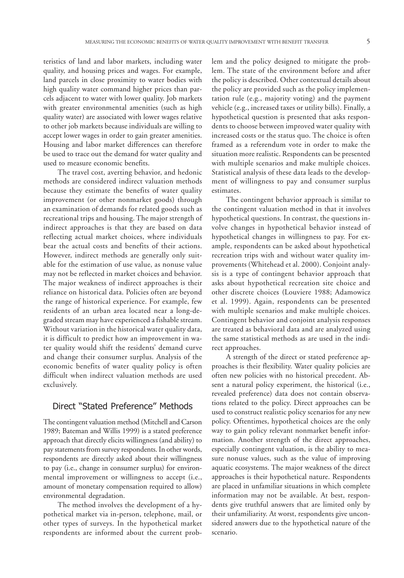teristics of land and labor markets, including water quality, and housing prices and wages. For example, land parcels in close proximity to water bodies with high quality water command higher prices than parcels adjacent to water with lower quality. Job markets with greater environmental amenities (such as high quality water) are associated with lower wages relative to other job markets because individuals are willing to accept lower wages in order to gain greater amenities. Housing and labor market differences can therefore be used to trace out the demand for water quality and used to measure economic benefits.

The travel cost, averting behavior, and hedonic methods are considered indirect valuation methods because they estimate the benefits of water quality improvement (or other nonmarket goods) through an examination of demands for related goods such as recreational trips and housing. The major strength of indirect approaches is that they are based on data reflecting actual market choices, where individuals bear the actual costs and benefits of their actions. However, indirect methods are generally only suitable for the estimation of use value, as nonuse value may not be reflected in market choices and behavior. The major weakness of indirect approaches is their reliance on historical data. Policies often are beyond the range of historical experience. For example, few residents of an urban area located near a long-degraded stream may have experienced a fishable stream. Without variation in the historical water quality data, it is difficult to predict how an improvement in water quality would shift the residents' demand curve and change their consumer surplus. Analysis of the economic benefits of water quality policy is often difficult when indirect valuation methods are used exclusively.

### Direct "Stated Preference" Methods

The contingent valuation method (Mitchell and Carson 1989; Bateman and Willis 1999) is a stated preference approach that directly elicits willingness (and ability) to pay statements from survey respondents. In other words, respondents are directly asked about their willingness to pay (i.e., change in consumer surplus) for environmental improvement or willingness to accept (i.e., amount of monetary compensation required to allow) environmental degradation.

The method involves the development of a hypothetical market via in-person, telephone, mail, or other types of surveys. In the hypothetical market respondents are informed about the current problem and the policy designed to mitigate the problem. The state of the environment before and after the policy is described. Other contextual details about the policy are provided such as the policy implementation rule (e.g., majority voting) and the payment vehicle (e.g., increased taxes or utility bills). Finally, a hypothetical question is presented that asks respondents to choose between improved water quality with increased costs or the status quo. The choice is often framed as a referendum vote in order to make the situation more realistic. Respondents can be presented with multiple scenarios and make multiple choices. Statistical analysis of these data leads to the development of willingness to pay and consumer surplus estimates.

The contingent behavior approach is similar to the contingent valuation method in that it involves hypothetical questions. In contrast, the questions involve changes in hypothetical behavior instead of hypothetical changes in willingness to pay. For example, respondents can be asked about hypothetical recreation trips with and without water quality improvements (Whitehead et al. 2000). Conjoint analysis is a type of contingent behavior approach that asks about hypothetical recreation site choice and other discrete choices (Louviere 1988; Adamowicz et al. 1999). Again, respondents can be presented with multiple scenarios and make multiple choices. Contingent behavior and conjoint analysis responses are treated as behavioral data and are analyzed using the same statistical methods as are used in the indirect approaches.

A strength of the direct or stated preference approaches is their flexibility. Water quality policies are often new policies with no historical precedent. Absent a natural policy experiment, the historical (i.e., revealed preference) data does not contain observations related to the policy. Direct approaches can be used to construct realistic policy scenarios for any new policy. Oftentimes, hypothetical choices are the only way to gain policy relevant nonmarket benefit information. Another strength of the direct approaches, especially contingent valuation, is the ability to measure nonuse values, such as the value of improving aquatic ecosystems. The major weakness of the direct approaches is their hypothetical nature. Respondents are placed in unfamiliar situations in which complete information may not be available. At best, respondents give truthful answers that are limited only by their unfamiliarity. At worst, respondents give unconsidered answers due to the hypothetical nature of the scenario.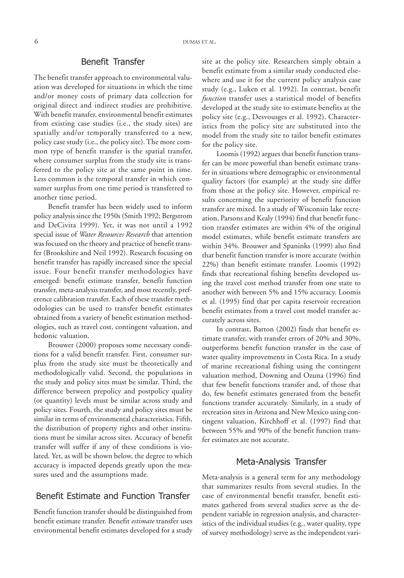### Benefit Transfer

The benefit transfer approach to environmental valuation was developed for situations in which the time and/or money costs of primary data collection for original direct and indirect studies are prohibitive. With benefit transfer, environmental benefit estimates from existing case studies (i.e., the study sites) are spatially and/or temporally transferred to a new, policy case study (i.e., the policy site). The more common type of benefit transfer is the spatial transfer, where consumer surplus from the study site is transferred to the policy site at the same point in time. Less common is the temporal transfer in which consumer surplus from one time period is transferred to another time period.

Benefit transfer has been widely used to inform policy analysis since the 1950s (Smith 1992; Bergstrom and DeCivita 1999). Yet, it was not until a 1992 special issue of *Water Resources Research* that attention was focused on the theory and practice of benefit transfer (Brookshire and Neil 1992). Research focusing on benefit transfer has rapidly increased since the special issue. Four benefit transfer methodologies have emerged: benefit estimate transfer, benefit function transfer, meta-analysis transfer, and most recently, preference calibration transfer. Each of these transfer methodologies can be used to transfer benefit estimates obtained from a variety of benefit estimation methodologies, such as travel cost, contingent valuation, and hedonic valuation.

Brouwer (2000) proposes some necessary conditions for a valid benefit transfer. First, consumer surplus from the study site must be theoretically and methodologically valid. Second, the populations in the study and policy sites must be similar. Third, the difference between prepolicy and postpolicy quality (or quantity) levels must be similar across study and policy sites. Fourth, the study and policy sites must be similar in terms of environmental characteristics. Fifth, the distribution of property rights and other institutions must be similar across sites. Accuracy of benefit transfer will suffer if any of these conditions is violated. Yet, as will be shown below, the degree to which accuracy is impacted depends greatly upon the measures used and the assumptions made.

### Benefit Estimate and Function Transfer

Benefit function transfer should be distinguished from benefit estimate transfer. Benefit *estimate* transfer uses environmental benefit estimates developed for a study

site at the policy site. Researchers simply obtain a benefit estimate from a similar study conducted elsewhere and use it for the current policy analysis case study (e.g., Luken et al. 1992). In contrast, benefit *function* transfer uses a statistical model of benefits developed at the study site to estimate benefits at the policy site (e.g., Desvousges et al. 1992). Characteristics from the policy site are substituted into the model from the study site to tailor benefit estimates for the policy site.

Loomis (1992) argues that benefit function transfer can be more powerful than benefit estimate transfer in situations where demographic or environmental quality factors (for example) at the study site differ from those at the policy site. However, empirical results concerning the superiority of benefit function transfer are mixed. In a study of Wisconsin lake recreation, Parsons and Kealy (1994) find that benefit function transfer estimates are within 4% of the original model estimates, while benefit estimate transfers are within 34%. Brouwer and Spaninks (1999) also find that benefit function transfer is more accurate (within 22%) than benefit estimate transfer. Loomis (1992) finds that recreational fishing benefits developed using the travel cost method transfer from one state to another with between 5% and 15% accuracy. Loomis et al. (1995) find that per capita reservoir recreation benefit estimates from a travel cost model transfer accurately across sites.

In contrast, Barton (2002) finds that benefit estimate transfer, with transfer errors of 20% and 30%, outperforms benefit function transfer in the case of water quality improvements in Costa Rica. In a study of marine recreational fishing using the contingent valuation method, Downing and Ozuna (1996) find that few benefit functions transfer and, of those that do, few benefit estimates generated from the benefit functions transfer accurately. Similarly, in a study of recreation sites in Arizona and New Mexico using contingent valuation, Kirchhoff et al. (1997) find that between 55% and 90% of the benefit function transfer estimates are not accurate.

### Meta-Analysis Transfer

Meta-analysis is a general term for any methodology that summarizes results from several studies. In the case of environmental benefit transfer, benefit estimates gathered from several studies serve as the dependent variable in regression analysis, and characteristics of the individual studies (e.g., water quality, type of survey methodology) serve as the independent vari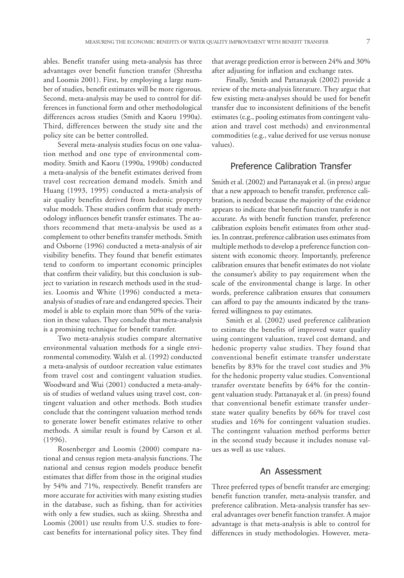ables. Benefit transfer using meta-analysis has three advantages over benefit function transfer (Shrestha and Loomis 2001). First, by employing a large number of studies, benefit estimates will be more rigorous. Second, meta-analysis may be used to control for differences in functional form and other methodological differences across studies (Smith and Kaoru 1990a). Third, differences between the study site and the policy site can be better controlled.

Several meta-analysis studies focus on one valuation method and one type of environmental commodity. Smith and Kaoru (1990a, 1990b) conducted a meta-analysis of the benefit estimates derived from travel cost recreation demand models. Smith and Huang (1993, 1995) conducted a meta-analysis of air quality benefits derived from hedonic property value models. These studies confirm that study methodology influences benefit transfer estimates. The authors recommend that meta-analysis be used as a complement to other benefits transfer methods. Smith and Osborne (1996) conducted a meta-analysis of air visibility benefits. They found that benefit estimates tend to conform to important economic principles that confirm their validity, but this conclusion is subject to variation in research methods used in the studies. Loomis and White (1996) conducted a metaanalysis of studies of rare and endangered species. Their model is able to explain more than 50% of the variation in these values. They conclude that meta-analysis is a promising technique for benefit transfer.

Two meta-analysis studies compare alternative environmental valuation methods for a single environmental commodity. Walsh et al. (1992) conducted a meta-analysis of outdoor recreation value estimates from travel cost and contingent valuation studies. Woodward and Wui (2001) conducted a meta-analysis of studies of wetland values using travel cost, contingent valuation and other methods. Both studies conclude that the contingent valuation method tends to generate lower benefit estimates relative to other methods. A similar result is found by Carson et al. (1996).

Rosenberger and Loomis (2000) compare national and census region meta-analysis functions. The national and census region models produce benefit estimates that differ from those in the original studies by 54% and 71%, respectively. Benefit transfers are more accurate for activities with many existing studies in the database, such as fishing, than for activities with only a few studies, such as skiing. Shrestha and Loomis (2001) use results from U.S. studies to forecast benefits for international policy sites. They find

that average prediction error is between 24% and 30% after adjusting for inflation and exchange rates.

Finally, Smith and Pattanayak (2002) provide a review of the meta-analysis literature. They argue that few existing meta-analyses should be used for benefit transfer due to inconsistent definitions of the benefit estimates (e.g., pooling estimates from contingent valuation and travel cost methods) and environmental commodities (e.g., value derived for use versus nonuse values).

### Preference Calibration Transfer

Smith et al. (2002) and Pattanayak et al. (in press) argue that a new approach to benefit transfer, preference calibration, is needed because the majority of the evidence appears to indicate that benefit function transfer is not accurate. As with benefit function transfer, preference calibration exploits benefit estimates from other studies. In contrast, preference calibration uses estimates from multiple methods to develop a preference function consistent with economic theory. Importantly, preference calibration ensures that benefit estimates do not violate the consumer's ability to pay requirement when the scale of the environmental change is large. In other words, preference calibration ensures that consumers can afford to pay the amounts indicated by the transferred willingness to pay estimates.

Smith et al. (2002) used preference calibration to estimate the benefits of improved water quality using contingent valuation, travel cost demand, and hedonic property value studies. They found that conventional benefit estimate transfer understate benefits by 83% for the travel cost studies and 3% for the hedonic property value studies. Conventional transfer overstate benefits by 64% for the contingent valuation study. Pattanayak et al. (in press) found that conventional benefit estimate transfer understate water quality benefits by 66% for travel cost studies and 16% for contingent valuation studies. The contingent valuation method performs better in the second study because it includes nonuse values as well as use values.

#### An Assessment

Three preferred types of benefit transfer are emerging: benefit function transfer, meta-analysis transfer, and preference calibration. Meta-analysis transfer has several advantages over benefit function transfer. A major advantage is that meta-analysis is able to control for differences in study methodologies. However, meta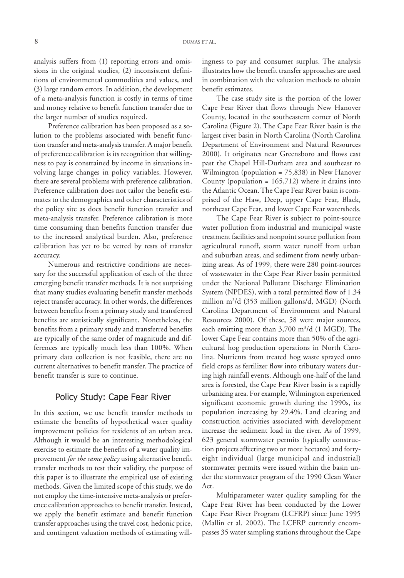analysis suffers from (1) reporting errors and omissions in the original studies, (2) inconsistent definitions of environmental commodities and values, and (3) large random errors. In addition, the development of a meta-analysis function is costly in terms of time and money relative to benefit function transfer due to the larger number of studies required.

Preference calibration has been proposed as a solution to the problems associated with benefit function transfer and meta-analysis transfer. A major benefit of preference calibration is its recognition that willingness to pay is constrained by income in situations involving large changes in policy variables. However, there are several problems with preference calibration. Preference calibration does not tailor the benefit estimates to the demographics and other characteristics of the policy site as does benefit function transfer and meta-analysis transfer. Preference calibration is more time consuming than benefits function transfer due to the increased analytical burden. Also, preference calibration has yet to be vetted by tests of transfer accuracy.

Numerous and restrictive conditions are necessary for the successful application of each of the three emerging benefit transfer methods. It is not surprising that many studies evaluating benefit transfer methods reject transfer accuracy. In other words, the differences between benefits from a primary study and transferred benefits are statistically significant. Nonetheless, the benefits from a primary study and transferred benefits are typically of the same order of magnitude and differences are typically much less than 100%. When primary data collection is not feasible, there are no current alternatives to benefit transfer. The practice of benefit transfer is sure to continue.

#### Policy Study: Cape Fear River

In this section, we use benefit transfer methods to estimate the benefits of hypothetical water quality improvement policies for residents of an urban area. Although it would be an interesting methodological exercise to estimate the benefits of a water quality improvement *for the same policy* using alternative benefit transfer methods to test their validity, the purpose of this paper is to illustrate the empirical use of existing methods. Given the limited scope of this study, we do not employ the time-intensive meta-analysis or preference calibration approaches to benefit transfer. Instead, we apply the benefit estimate and benefit function transfer approaches using the travel cost, hedonic price, and contingent valuation methods of estimating willingness to pay and consumer surplus. The analysis illustrates how the benefit transfer approaches are used in combination with the valuation methods to obtain benefit estimates.

The case study site is the portion of the lower Cape Fear River that flows through New Hanover County, located in the southeastern corner of North Carolina (Figure 2). The Cape Fear River basin is the largest river basin in North Carolina (North Carolina Department of Environment and Natural Resources 2000). It originates near Greensboro and flows east past the Chapel Hill-Durham area and southeast to Wilmington (population = 75,838) in New Hanover County (population =  $165,712$ ) where it drains into the Atlantic Ocean. The Cape Fear River basin is comprised of the Haw, Deep, upper Cape Fear, Black, northeast Cape Fear, and lower Cape Fear watersheds.

The Cape Fear River is subject to point-source water pollution from industrial and municipal waste treatment facilities and nonpoint source pollution from agricultural runoff, storm water runoff from urban and suburban areas, and sediment from newly urbanizing areas. As of 1999, there were 280 point-sources of wastewater in the Cape Fear River basin permitted under the National Pollutant Discharge Elimination System (NPDES), with a total permitted flow of 1.34 million m3 /d (353 million gallons/d, MGD) (North Carolina Department of Environment and Natural Resources 2000). Of these, 58 were major sources, each emitting more than 3,700 m3 /d (1 MGD). The lower Cape Fear contains more than 50% of the agricultural hog production operations in North Carolina. Nutrients from treated hog waste sprayed onto field crops as fertilizer flow into tributary waters during high rainfall events. Although one-half of the land area is forested, the Cape Fear River basin is a rapidly urbanizing area. For example, Wilmington experienced significant economic growth during the 1990s, its population increasing by 29.4%. Land clearing and construction activities associated with development increase the sediment load in the river. As of 1999, 623 general stormwater permits (typically construction projects affecting two or more hectares) and fortyeight individual (large municipal and industrial) stormwater permits were issued within the basin under the stormwater program of the 1990 Clean Water Act.

Multiparameter water quality sampling for the Cape Fear River has been conducted by the Lower Cape Fear River Program (LCFRP) since June 1995 (Mallin et al. 2002). The LCFRP currently encompasses 35 water sampling stations throughout the Cape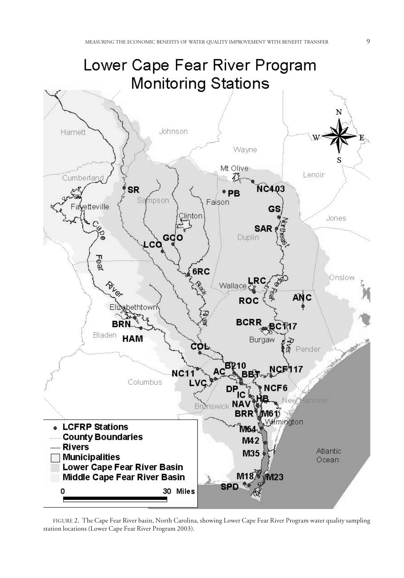

FIGURE 2. The Cape Fear River basin, North Carolina, showing Lower Cape Fear River Program water quality sampling station locations (Lower Cape Fear River Program 2003).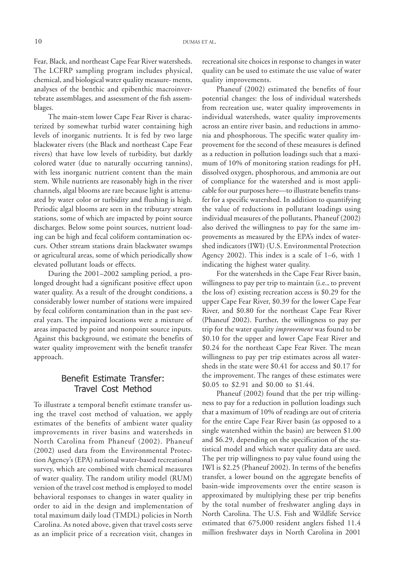Fear, Black, and northeast Cape Fear River watersheds. The LCFRP sampling program includes physical, chemical, and biological water quality measure- ments, analyses of the benthic and epibenthic macroinvertebrate assemblages, and assessment of the fish assemblages.

The main-stem lower Cape Fear River is characterized by somewhat turbid water containing high levels of inorganic nutrients. It is fed by two large blackwater rivers (the Black and northeast Cape Fear rivers) that have low levels of turbidity, but darkly colored water (due to naturally occurring tannins), with less inorganic nutrient content than the main stem. While nutrients are reasonably high in the river channels, algal blooms are rare because light is attenuated by water color or turbidity and flushing is high. Periodic algal blooms are seen in the tributary stream stations, some of which are impacted by point source discharges. Below some point sources, nutrient loading can be high and fecal coliform contamination occurs. Other stream stations drain blackwater swamps or agricultural areas, some of which periodically show elevated pollutant loads or effects.

During the 2001–2002 sampling period, a prolonged drought had a significant positive effect upon water quality. As a result of the drought conditions, a considerably lower number of stations were impaired by fecal coliform contamination than in the past several years. The impaired locations were a mixture of areas impacted by point and nonpoint source inputs. Against this background, we estimate the benefits of water quality improvement with the benefit transfer approach.

### Benefit Estimate Transfer: Travel Cost Method

To illustrate a temporal benefit estimate transfer using the travel cost method of valuation, we apply estimates of the benefits of ambient water quality improvements in river basins and watersheds in North Carolina from Phaneuf (2002). Phaneuf (2002) used data from the Environmental Protection Agency's (EPA) national water-based recreational survey, which are combined with chemical measures of water quality. The random utility model (RUM) version of the travel cost method is employed to model behavioral responses to changes in water quality in order to aid in the design and implementation of total maximum daily load (TMDL) policies in North Carolina. As noted above, given that travel costs serve as an implicit price of a recreation visit, changes in

recreational site choices in response to changes in water quality can be used to estimate the use value of water quality improvements.

Phaneuf (2002) estimated the benefits of four potential changes: the loss of individual watersheds from recreation use, water quality improvements in individual watersheds, water quality improvements across an entire river basin, and reductions in ammonia and phosphorous. The specific water quality improvement for the second of these measures is defined as a reduction in pollution loadings such that a maximum of 10% of monitoring station readings for pH, dissolved oxygen, phosphorous, and ammonia are out of compliance for the watershed and is most applicable for our purposes here—to illustrate benefits transfer for a specific watershed. In addition to quantifying the value of reductions in pollutant loadings using individual measures of the pollutants, Phaneuf (2002) also derived the willingness to pay for the same improvements as measured by the EPA's index of watershed indicators (IWI) (U.S. Environmental Protection Agency 2002). This index is a scale of 1–6, with 1 indicating the highest water quality.

For the watersheds in the Cape Fear River basin, willingness to pay per trip to maintain (i.e., to prevent the loss of) existing recreation access is \$0.29 for the upper Cape Fear River, \$0.39 for the lower Cape Fear River, and \$0.80 for the northeast Cape Fear River (Phaneuf 2002). Further, the willingness to pay per trip for the water quality *improvement* was found to be \$0.10 for the upper and lower Cape Fear River and \$0.24 for the northeast Cape Fear River. The mean willingness to pay per trip estimates across all watersheds in the state were \$0.41 for access and \$0.17 for the improvement. The ranges of these estimates were \$0.05 to \$2.91 and \$0.00 to \$1.44.

Phaneuf (2002) found that the per trip willingness to pay for a reduction in pollution loadings such that a maximum of 10% of readings are out of criteria for the entire Cape Fear River basin (as opposed to a single watershed within the basin) are between \$1.00 and \$6.29, depending on the specification of the statistical model and which water quality data are used. The per trip willingness to pay value found using the IWI is \$2.25 (Phaneuf 2002). In terms of the benefits transfer, a lower bound on the aggregate benefits of basin-wide improvements over the entire season is approximated by multiplying these per trip benefits by the total number of freshwater angling days in North Carolina. The U.S. Fish and Wildlife Service estimated that 675,000 resident anglers fished 11.4 million freshwater days in North Carolina in 2001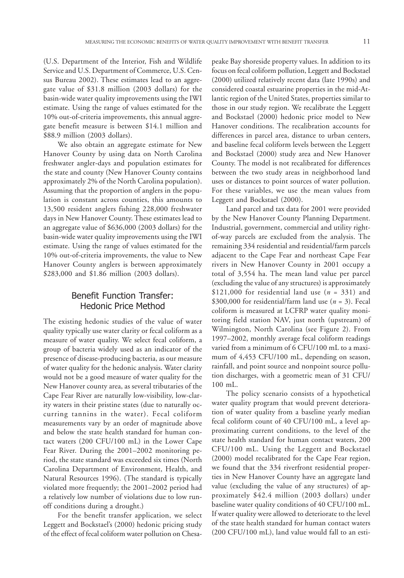(U.S. Department of the Interior, Fish and Wildlife Service and U.S. Department of Commerce, U.S. Census Bureau 2002). These estimates lead to an aggregate value of \$31.8 million (2003 dollars) for the basin-wide water quality improvements using the IWI estimate. Using the range of values estimated for the 10% out-of-criteria improvements, this annual aggregate benefit measure is between \$14.1 million and \$88.9 million (2003 dollars).

We also obtain an aggregate estimate for New Hanover County by using data on North Carolina freshwater angler-days and population estimates for the state and county (New Hanover County contains approximately 2% of the North Carolina population). Assuming that the proportion of anglers in the population is constant across counties, this amounts to 13,500 resident anglers fishing 228,000 freshwater days in New Hanover County. These estimates lead to an aggregate value of \$636,000 (2003 dollars) for the basin-wide water quality improvements using the IWI estimate. Using the range of values estimated for the 10% out-of-criteria improvements, the value to New Hanover County anglers is between approximately \$283,000 and \$1.86 million (2003 dollars).

### Benefit Function Transfer: Hedonic Price Method

The existing hedonic studies of the value of water quality typically use water clarity or fecal coliform as a measure of water quality. We select fecal coliform, a group of bacteria widely used as an indicator of the presence of disease-producing bacteria, as our measure of water quality for the hedonic analysis. Water clarity would not be a good measure of water quality for the New Hanover county area, as several tributaries of the Cape Fear River are naturally low-visibility, low-clarity waters in their pristine states (due to naturally occurring tannins in the water). Fecal coliform measurements vary by an order of magnitude above and below the state health standard for human contact waters (200 CFU/100 mL) in the Lower Cape Fear River. During the 2001–2002 monitoring period, the state standard was exceeded six times (North Carolina Department of Environment, Health, and Natural Resources 1996). (The standard is typically violated more frequently; the 2001–2002 period had a relatively low number of violations due to low runoff conditions during a drought.)

For the benefit transfer application, we select Leggett and Bockstael's (2000) hedonic pricing study of the effect of fecal coliform water pollution on Chesapeake Bay shoreside property values. In addition to its focus on fecal coliform pollution, Leggett and Bockstael (2000) utilized relatively recent data (late 1990s) and considered coastal estuarine properties in the mid-Atlantic region of the United States, properties similar to those in our study region. We recalibrate the Leggett and Bockstael (2000) hedonic price model to New Hanover conditions. The recalibration accounts for differences in parcel area, distance to urban centers, and baseline fecal coliform levels between the Leggett and Bockstael (2000) study area and New Hanover County. The model is not recalibrated for differences between the two study areas in neighborhood land uses or distances to point sources of water pollution. For these variables, we use the mean values from Leggett and Bockstael (2000).

Land parcel and tax data for 2001 were provided by the New Hanover County Planning Department. Industrial, government, commercial and utility rightof-way parcels are excluded from the analysis. The remaining 334 residential and residential/farm parcels adjacent to the Cape Fear and northeast Cape Fear rivers in New Hanover County in 2001 occupy a total of 3,554 ha. The mean land value per parcel (excluding the value of any structures) is approximately \$121,000 for residential land use  $(n = 331)$  and \$300,000 for residential/farm land use (*n* = 3). Fecal coliform is measured at LCFRP water quality monitoring field station NAV, just north (upstream) of Wilmington, North Carolina (see Figure 2). From 1997–2002, monthly average fecal coliform readings varied from a minimum of 6 CFU/100 mL to a maximum of 4,453 CFU/100 mL, depending on season, rainfall, and point source and nonpoint source pollution discharges, with a geometric mean of 31 CFU/ 100 mL.

The policy scenario consists of a hypothetical water quality program that would prevent deterioration of water quality from a baseline yearly median fecal coliform count of 40 CFU/100 mL, a level approximating current conditions, to the level of the state health standard for human contact waters, 200 CFU/100 mL. Using the Leggett and Bockstael (2000) model recalibrated for the Cape Fear region, we found that the 334 riverfront residential properties in New Hanover County have an aggregate land value (excluding the value of any structures) of approximately \$42.4 million (2003 dollars) under baseline water quality conditions of 40 CFU/100 mL. If water quality were allowed to deteriorate to the level of the state health standard for human contact waters (200 CFU/100 mL), land value would fall to an esti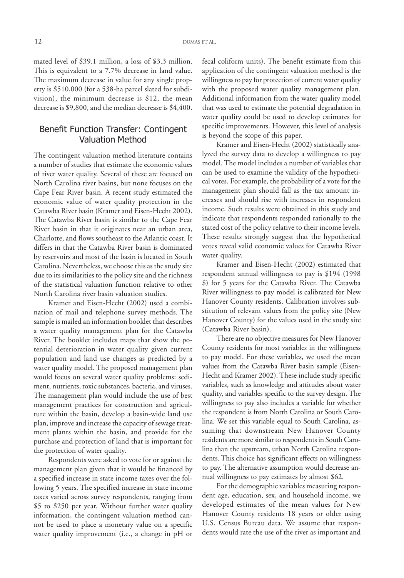mated level of \$39.1 million, a loss of \$3.3 million. This is equivalent to a 7.7% decrease in land value. The maximum decrease in value for any single property is \$510,000 (for a 538-ha parcel slated for subdivision), the minimum decrease is \$12, the mean decrease is \$9,800, and the median decrease is \$4,400.

### Benefit Function Transfer: Contingent Valuation Method

The contingent valuation method literature contains a number of studies that estimate the economic values of river water quality. Several of these are focused on North Carolina river basins, but none focuses on the Cape Fear River basin. A recent study estimated the economic value of water quality protection in the Catawba River basin (Kramer and Eisen-Hecht 2002). The Catawba River basin is similar to the Cape Fear River basin in that it originates near an urban area, Charlotte, and flows southeast to the Atlantic coast. It differs in that the Catawba River basin is dominated by reservoirs and most of the basin is located in South Carolina. Nevertheless, we choose this as the study site due to its similarities to the policy site and the richness of the statistical valuation function relative to other North Carolina river basin valuation studies.

Kramer and Eisen-Hecht (2002) used a combination of mail and telephone survey methods. The sample is mailed an information booklet that describes a water quality management plan for the Catawba River. The booklet includes maps that show the potential deterioration in water quality given current population and land use changes as predicted by a water quality model. The proposed management plan would focus on several water quality problems: sediment, nutrients, toxic substances, bacteria, and viruses. The management plan would include the use of best management practices for construction and agriculture within the basin, develop a basin-wide land use plan, improve and increase the capacity of sewage treatment plants within the basin, and provide for the purchase and protection of land that is important for the protection of water quality.

Respondents were asked to vote for or against the management plan given that it would be financed by a specified increase in state income taxes over the following 5 years. The specified increase in state income taxes varied across survey respondents, ranging from \$5 to \$250 per year. Without further water quality information, the contingent valuation method cannot be used to place a monetary value on a specific water quality improvement (i.e., a change in pH or

fecal coliform units). The benefit estimate from this application of the contingent valuation method is the willingness to pay for protection of current water quality with the proposed water quality management plan. Additional information from the water quality model that was used to estimate the potential degradation in water quality could be used to develop estimates for specific improvements. However, this level of analysis is beyond the scope of this paper.

Kramer and Eisen-Hecht (2002) statistically analyzed the survey data to develop a willingness to pay model. The model includes a number of variables that can be used to examine the validity of the hypothetical votes. For example, the probability of a vote for the management plan should fall as the tax amount increases and should rise with increases in respondent income. Such results were obtained in this study and indicate that respondents responded rationally to the stated cost of the policy relative to their income levels. These results strongly suggest that the hypothetical votes reveal valid economic values for Catawba River water quality.

Kramer and Eisen-Hecht (2002) estimated that respondent annual willingness to pay is \$194 (1998 \$) for 5 years for the Catawba River. The Catawba River willingness to pay model is calibrated for New Hanover County residents. Calibration involves substitution of relevant values from the policy site (New Hanover County) for the values used in the study site (Catawba River basin).

There are no objective measures for New Hanover County residents for most variables in the willingness to pay model. For these variables, we used the mean values from the Catawba River basin sample (Eisen-Hecht and Kramer 2002). These include study specific variables, such as knowledge and attitudes about water quality, and variables specific to the survey design. The willingness to pay also includes a variable for whether the respondent is from North Carolina or South Carolina. We set this variable equal to South Carolina, assuming that downstream New Hanover County residents are more similar to respondents in South Carolina than the upstream, urban North Carolina respondents. This choice has significant effects on willingness to pay. The alternative assumption would decrease annual willingness to pay estimates by almost \$62.

For the demographic variables measuring respondent age, education, sex, and household income, we developed estimates of the mean values for New Hanover County residents 18 years or older using U.S. Census Bureau data. We assume that respondents would rate the use of the river as important and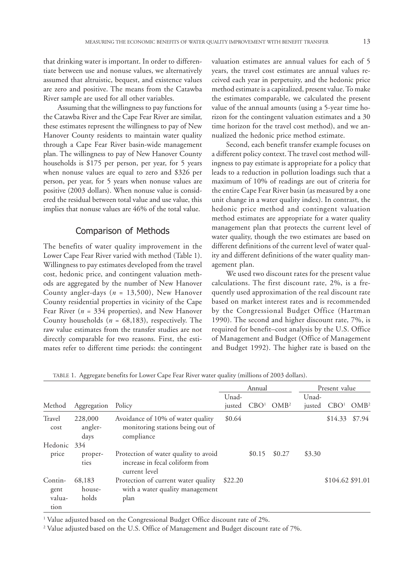that drinking water is important. In order to differentiate between use and nonuse values, we alternatively assumed that altruistic, bequest, and existence values are zero and positive. The means from the Catawba River sample are used for all other variables.

Assuming that the willingness to pay functions for the Catawba River and the Cape Fear River are similar, these estimates represent the willingness to pay of New Hanover County residents to maintain water quality through a Cape Fear River basin-wide management plan. The willingness to pay of New Hanover County households is \$175 per person, per year, for 5 years when nonuse values are equal to zero and \$326 per person, per year, for 5 years when nonuse values are positive (2003 dollars). When nonuse value is considered the residual between total value and use value, this implies that nonuse values are 46% of the total value.

#### Comparison of Methods

The benefits of water quality improvement in the Lower Cape Fear River varied with method (Table 1). Willingness to pay estimates developed from the travel cost, hedonic price, and contingent valuation methods are aggregated by the number of New Hanover County angler-days (*n* = 13,500), New Hanover County residential properties in vicinity of the Cape Fear River (*n* = 334 properties), and New Hanover County households (*n* = 68,183), respectively. The raw value estimates from the transfer studies are not directly comparable for two reasons. First, the estimates refer to different time periods: the contingent valuation estimates are annual values for each of 5 years, the travel cost estimates are annual values received each year in perpetuity, and the hedonic price method estimate is a capitalized, present value. To make the estimates comparable, we calculated the present value of the annual amounts (using a 5-year time horizon for the contingent valuation estimates and a 30 time horizon for the travel cost method), and we annualized the hedonic price method estimate.

Second, each benefit transfer example focuses on a different policy context. The travel cost method willingness to pay estimate is appropriate for a policy that leads to a reduction in pollution loadings such that a maximum of 10% of readings are out of criteria for the entire Cape Fear River basin (as measured by a one unit change in a water quality index). In contrast, the hedonic price method and contingent valuation method estimates are appropriate for a water quality management plan that protects the current level of water quality, though the two estimates are based on different definitions of the current level of water quality and different definitions of the water quality management plan.

We used two discount rates for the present value calculations. The first discount rate, 2%, is a frequently used approximation of the real discount rate based on market interest rates and is recommended by the Congressional Budget Office (Hartman 1990). The second and higher discount rate, 7%, is required for benefit–cost analysis by the U.S. Office of Management and Budget (Office of Management and Budget 1992). The higher rate is based on the

Annual Present value Unad- Unad-Method Aggregation Policy justed CBO1 OMB2 justed CBO1 OMB2 Travel 228,000 Avoidance of 10% of water quality \$0.64 \$14.33 \$7.94 cost angler- monitoring stations being out of days compliance Hedonic 334 price proper- Protection of water quality to avoid  $$0.15 \quad $0.27 \quad $3.30$ ties increase in fecal coliform from current level Contin- 68,183 Protection of current water quality \$22.20 \$104.62 \$91.01 gent house- with a water quality management valua- holds plan tion

TABLE 1. Aggregate benefits for Lower Cape Fear River water quality (millions of 2003 dollars).

<sup>1</sup> Value adjusted based on the Congressional Budget Office discount rate of 2%.

 $^{\rm 2}$  Value adjusted based on the U.S. Office of Management and Budget discount rate of 7%.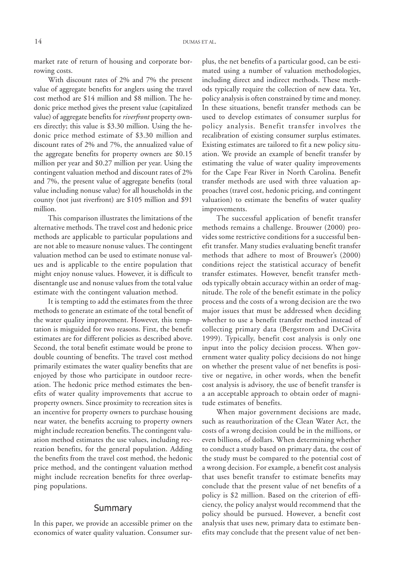market rate of return of housing and corporate borrowing costs.

With discount rates of 2% and 7% the present value of aggregate benefits for anglers using the travel cost method are \$14 million and \$8 million. The hedonic price method gives the present value (capitalized value) of aggregate benefits for *riverfront* property owners directly; this value is \$3.30 million. Using the hedonic price method estimate of \$3.30 million and discount rates of 2% and 7%, the annualized value of the aggregate benefits for property owners are \$0.15 million per year and \$0.27 million per year. Using the contingent valuation method and discount rates of 2% and 7%, the present value of aggregate benefits (total value including nonuse value) for all households in the county (not just riverfront) are \$105 million and \$91 million.

This comparison illustrates the limitations of the alternative methods. The travel cost and hedonic price methods are applicable to particular populations and are not able to measure nonuse values. The contingent valuation method can be used to estimate nonuse values and is applicable to the entire population that might enjoy nonuse values. However, it is difficult to disentangle use and nonuse values from the total value estimate with the contingent valuation method.

It is tempting to add the estimates from the three methods to generate an estimate of the total benefit of the water quality improvement. However, this temptation is misguided for two reasons. First, the benefit estimates are for different policies as described above. Second, the total benefit estimate would be prone to double counting of benefits. The travel cost method primarily estimates the water quality benefits that are enjoyed by those who participate in outdoor recreation. The hedonic price method estimates the benefits of water quality improvements that accrue to property owners. Since proximity to recreation sites is an incentive for property owners to purchase housing near water, the benefits accruing to property owners might include recreation benefits. The contingent valuation method estimates the use values, including recreation benefits, for the general population. Adding the benefits from the travel cost method, the hedonic price method, and the contingent valuation method might include recreation benefits for three overlapping populations.

#### Summary

In this paper, we provide an accessible primer on the economics of water quality valuation. Consumer surplus, the net benefits of a particular good, can be estimated using a number of valuation methodologies, including direct and indirect methods. These methods typically require the collection of new data. Yet, policy analysis is often constrained by time and money. In these situations, benefit transfer methods can be used to develop estimates of consumer surplus for policy analysis. Benefit transfer involves the recalibration of existing consumer surplus estimates. Existing estimates are tailored to fit a new policy situation. We provide an example of benefit transfer by estimating the value of water quality improvements for the Cape Fear River in North Carolina. Benefit transfer methods are used with three valuation approaches (travel cost, hedonic pricing, and contingent valuation) to estimate the benefits of water quality improvements.

The successful application of benefit transfer methods remains a challenge. Brouwer (2000) provides some restrictive conditions for a successful benefit transfer. Many studies evaluating benefit transfer methods that adhere to most of Brouwer's (2000) conditions reject the statistical accuracy of benefit transfer estimates. However, benefit transfer methods typically obtain accuracy within an order of magnitude. The role of the benefit estimate in the policy process and the costs of a wrong decision are the two major issues that must be addressed when deciding whether to use a benefit transfer method instead of collecting primary data (Bergstrom and DeCivita 1999). Typically, benefit cost analysis is only one input into the policy decision process. When government water quality policy decisions do not hinge on whether the present value of net benefits is positive or negative, in other words, when the benefit cost analysis is advisory, the use of benefit transfer is a an acceptable approach to obtain order of magnitude estimates of benefits.

When major government decisions are made, such as reauthorization of the Clean Water Act, the costs of a wrong decision could be in the millions, or even billions, of dollars. When determining whether to conduct a study based on primary data, the cost of the study must be compared to the potential cost of a wrong decision. For example, a benefit cost analysis that uses benefit transfer to estimate benefits may conclude that the present value of net benefits of a policy is \$2 million. Based on the criterion of efficiency, the policy analyst would recommend that the policy should be pursued. However, a benefit cost analysis that uses new, primary data to estimate benefits may conclude that the present value of net ben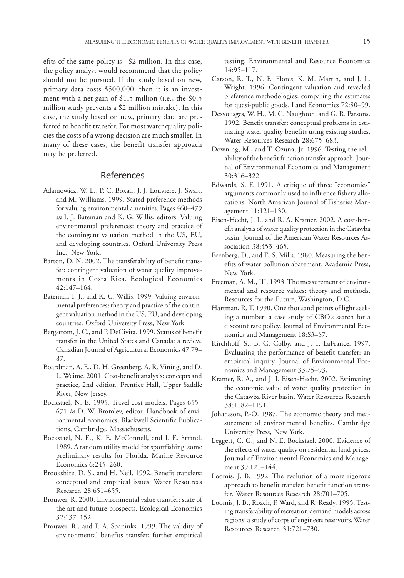efits of the same policy is –\$2 million. In this case, the policy analyst would recommend that the policy should not be pursued. If the study based on new, primary data costs \$500,000, then it is an investment with a net gain of \$1.5 million (i.e., the \$0.5 million study prevents a \$2 million mistake). In this case, the study based on new, primary data are preferred to benefit transfer. For most water quality policies the costs of a wrong decision are much smaller. In many of these cases, the benefit transfer approach may be preferred.

### References

- Adamowicz, W. L., P. C. Boxall, J. J. Louviere, J. Swait, and M. Williams. 1999. Stated-preference methods for valuing environmental amenities. Pages 460–479 *in* I. J. Bateman and K. G. Willis, editors. Valuing environmental preferences: theory and practice of the contingent valuation method in the US, EU, and developing countries. Oxford University Press Inc., New York.
- Barton, D. N. 2002. The transferability of benefit transfer: contingent valuation of water quality improvements in Costa Rica. Ecological Economics 42:147–164.
- Bateman, I. J., and K. G. Willis. 1999. Valuing environmental preferences: theory and practice of the contingent valuation method in the US, EU, and developing countries. Oxford University Press, New York.
- Bergstrom, J. C., and P. DeCivita. 1999. Status of benefit transfer in the United States and Canada: a review. Canadian Journal of Agricultural Economics 47:79– 87.
- Boardman, A. E., D. H. Greenberg, A. R. Vining, and D. L. Weime. 2001. Cost-benefit analysis: concepts and practice, 2nd edition. Prentice Hall, Upper Saddle River, New Jersey.
- Bockstael, N. E. 1995. Travel cost models. Pages 655– 671 *in* D. W. Bromley, editor. Handbook of environmental economics. Blackwell Scientific Publications, Cambridge, Massachusetts.
- Bockstael, N. E., K. E. McConnell, and I. E. Strand. 1989. A random utility model for sportfishing: some preliminary results for Florida. Marine Resource Economics 6:245–260.
- Brookshire, D. S., and H. Neil. 1992. Benefit transfers: conceptual and empirical issues. Water Resources Research 28:651–655.
- Brouwer, R. 2000. Environmental value transfer: state of the art and future prospects. Ecological Economics 32:137–152.
- Brouwer, R., and F. A. Spaninks. 1999. The validity of environmental benefits transfer: further empirical

testing. Environmental and Resource Economics 14:95–117.

- Carson, R. T., N. E. Flores, K. M. Martin, and J. L. Wright. 1996. Contingent valuation and revealed preference methodologies: comparing the estimates for quasi-public goods. Land Economics 72:80–99.
- Desvousges, W. H., M. C. Naughton, and G. R. Parsons. 1992. Benefit transfer: conceptual problems in estimating water quality benefits using existing studies. Water Resources Research 28:675–683.
- Downing, M., and T. Ozuna, Jr. 1996. Testing the reliability of the benefit function transfer approach. Journal of Environmental Economics and Management 30:316–322.
- Edwards, S. F. 1991. A critique of three "economics" arguments commonly used to influence fishery allocations. North American Journal of Fisheries Management 11:121–130.
- Eisen-Hecht, J. I., and R. A. Kramer. 2002. A cost-benefit analysis of water quality protection in the Catawba basin. Journal of the American Water Resources Association 38:453–465.
- Feenberg, D., and E. S. Mills. 1980. Measuring the benefits of water pollution abatement. Academic Press, New York.
- Freeman, A. M., III. 1993. The measurement of environmental and resource values: theory and methods. Resources for the Future, Washington, D.C.
- Hartman, R. T. 1990. One thousand points of light seeking a number: a case study of CBO's search for a discount rate policy. Journal of Environmental Economics and Management 18:S3–S7.
- Kirchhoff, S., B. G. Colby, and J. T. LaFrance. 1997. Evaluating the performance of benefit transfer: an empirical inquiry. Journal of Environmental Economics and Management 33:75–93.
- Kramer, R. A., and J. I. Eisen-Hecht. 2002. Estimating the economic value of water quality protection in the Catawba River basin. Water Resources Research 38:1182–1191.
- Johansson, P.-O. 1987. The economic theory and measurement of environmental benefits. Cambridge University Press, New York.
- Leggett, C. G., and N. E. Bockstael. 2000. Evidence of the effects of water quality on residential land prices. Journal of Environmental Economics and Management 39:121–144.
- Loomis, J. B. 1992. The evolution of a more rigorous approach to benefit transfer: benefit function transfer. Water Resources Research 28:701–705.
- Loomis, J. B., Roach, F. Ward, and R. Ready. 1995. Testing transferability of recreation demand models across regions: a study of corps of engineers reservoirs. Water Resources Research 31:721–730.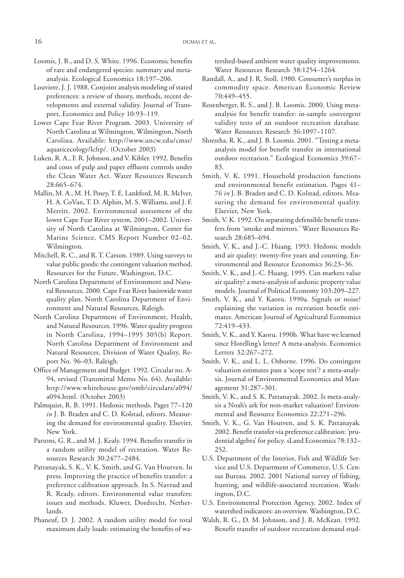- Loomis, J. B., and D. S. White. 1996. Economic benefits of rare and endangered species: summary and metaanalysis. Ecological Economics 18:197–206.
- Louviere, J. J. 1988. Conjoint analysis modeling of stated preferences: a review of theory, methods, recent developments and external validity. Journal of Transport, Economics and Policy 10:93–119.
- Lower Cape Fear River Program. 2003. University of North Carolina at Wilmington, Wilmington, North Carolina. Available: http://www.uncw.edu/cmsr/ aquaticecology/lcfrp/. (October 2003)
- Luken, R. A., F. R. Johnson, and V. Kibler. 1992. Benefits and costs of pulp and paper effluent controls under the Clean Water Act. Water Resources Research 28:665–674.
- Mallin, M. A., M. H. Posey, T. E. Lankford, M. R. McIver, H. A. CoVan, T. D. Alphin, M. S. Williams, and J. F. Merritt. 2002. Environmental assessment of the lower Cape Fear River system, 2001–2002. University of North Carolina at Wilmington, Center for Marine Science, CMS Report Number 02–02, Wilmington.
- Mitchell, R. C., and R. T. Carson. 1989. Using surveys to value public goods: the contingent valuation method. Resources for the Future, Washington, D.C.
- North Carolina Department of Environment and Natural Resources. 2000. Cape Fear River basinwide water quality plan. North Carolina Department of Environment and Natural Resources, Raleigh.
- North Carolina Department of Environment, Health, and Natural Resources. 1996. Water quality progress in North Carolina, 1994–1995 305(b) Report. North Carolina Department of Environment and Natural Resources, Division of Water Quality, Report No. 96–03, Raleigh.
- Office of Management and Budget. 1992. Circular no. A-94, revised (Transmittal Memo No. 64). Available: http://www.whitehouse.gov/omb/circulars/a094/ a094.html. (October 2003)
- Palmquist, R. B. 1991. Hedonic methods. Pages 77–120 *in* J. B. Braden and C. D. Kolstad, editors. Measuring the demand for environmental quality. Elsevier, New York.
- Parsons, G. R., and M. J. Kealy. 1994. Benefits transfer in a random utility model of recreation. Water Resources Research 30:2477–2484.
- Pattanayak, S. K., V. K. Smith, and G. Van Houtven. In press. Improving the practice of benefits transfer: a preference calibration approach. In S. Navrud and R. Ready, editors. Environmental value transfers: issues and methods. Kluwer, Dordrecht, Netherlands.
- Phaneuf, D. J. 2002. A random utility model for total maximum daily loads: estimating the benefits of wa-

tershed-based ambient water quality improvements. Water Resources Research 38:1254–1264.

- Randall, A., and J. R. Stoll. 1980. Consumer's surplus in commodity space. American Economic Review 70:449–455.
- Rosenberger, R. S., and J. B. Loomis. 2000. Using metaanalysis for benefit transfer: in-sample convergent validity tests of an outdoor recreation database. Water Resources Research 36:1097–1107.
- Shrestha, R. K., and J. B. Loomis. 2001. "Testing a metaanalysis model for benefit transfer in international outdoor recreation." Ecological Economics 39:67– 83.
- Smith, V. K. 1991. Household production functions and environmental benefit estimation. Pages 41– 76 *in* J. B. Braden and C. D. Kolstad, editors. Measuring the demand for environmental quality. Elsevier, New York.
- Smith, V. K. 1992. On separating defensible benefit transfers from 'smoke and mirrors.' Water Resources Research 28:685–694.
- Smith, V. K., and J.-C. Huang. 1993. Hedonic models and air quality: twenty-five years and counting. Environmental and Resource Economics 36:23–36.
- Smith, V. K., and J.-C. Huang. 1995. Can markets value air quality? a meta-analysis of aedonic property value models. Journal of Political Economy 103:209–227.
- Smith, V. K., and Y. Kaoru. 1990a. Signals or noise? explaining the variation in recreation benefit estimates. American Journal of Agricultural Economics 72:419–433.
- Smith, V. K., and Y. Kaoru. 1990b. What have we learned since Hotelling's letter? A meta-analysis. Economics Letters 32:267–272.
- Smith, V. K., and L. L. Osborne. 1996. Do contingent valuation estimates pass a 'scope test'? a meta-analysis. Journal of Environmental Economics and Management 31:287–301.
- Smith, V. K., and S. K. Pattanayak. 2002. Is meta-analysis a Noah's ark for non-market valuation? Environmental and Resource Economics 22:271–296.
- Smith, V. K., G. Van Houtven, and S. K. Pattanayak. 2002. Benefit transfer via preference calibration: 'prudential algebra' for policy. sLand Economics 78:132– 252.
- U.S. Department of the Interior, Fish and Wildlife Service and U.S. Department of Commerce, U.S. Census Bureau. 2002. 2001 National survey of fishing, hunting, and wildlife-associated recreation. Washington, D.C.
- U.S. Environmental Protection Agency. 2002. Index of watershed indicators: an overview. Washington, D.C.
- Walsh, R. G., D. M. Johnson, and J. R. McKean. 1992. Benefit transfer of outdoor recreation demand stud-